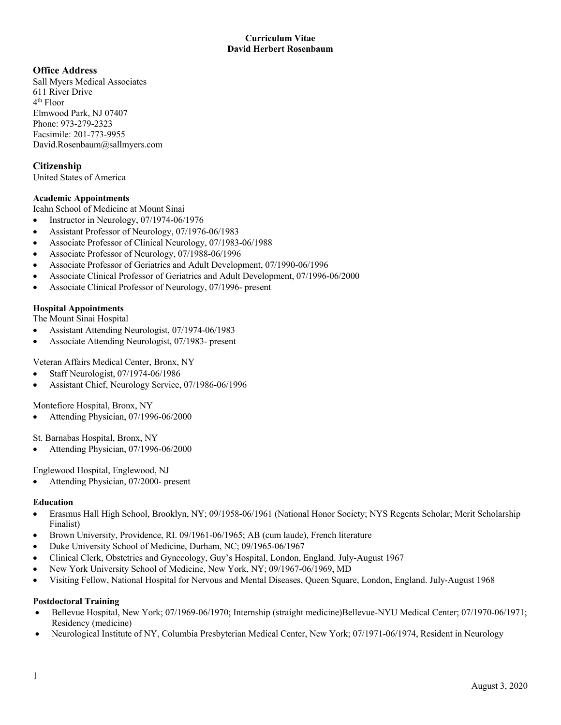# **Office Address**

Sall Myers Medical Associates 611 River Drive 4th Floor Elmwood Park, NJ 07407 Phone: 973-279-2323 Facsimile: 201-773-9955 David.Rosenbaum@sallmyers.com

# **Citizenship**

United States of America

## **Academic Appointments**

Icahn School of Medicine at Mount Sinai

- Instructor in Neurology, 07/1974-06/1976
- Assistant Professor of Neurology, 07/1976-06/1983
- Associate Professor of Clinical Neurology, 07/1983-06/1988
- Associate Professor of Neurology, 07/1988-06/1996
- Associate Professor of Geriatrics and Adult Development, 07/1990-06/1996
- Associate Clinical Professor of Geriatrics and Adult Development, 07/1996-06/2000
- Associate Clinical Professor of Neurology, 07/1996- present

# **Hospital Appointments**

The Mount Sinai Hospital

- Assistant Attending Neurologist, 07/1974-06/1983
- Associate Attending Neurologist, 07/1983- present

Veteran Affairs Medical Center, Bronx, NY

- Staff Neurologist, 07/1974-06/1986
- Assistant Chief, Neurology Service, 07/1986-06/1996

Montefiore Hospital, Bronx, NY

• Attending Physician, 07/1996-06/2000

St. Barnabas Hospital, Bronx, NY

• Attending Physician, 07/1996-06/2000

Englewood Hospital, Englewood, NJ

• Attending Physician, 07/2000- present

#### **Education**

- Erasmus Hall High School, Brooklyn, NY; 09/1958-06/1961 (National Honor Society; NYS Regents Scholar; Merit Scholarship Finalist)
- Brown University, Providence, RI. 09/1961-06/1965; AB (cum laude), French literature
- Duke University School of Medicine, Durham, NC; 09/1965-06/1967
- Clinical Clerk, Obstetrics and Gynecology, Guy's Hospital, London, England. July-August 1967
- New York University School of Medicine, New York, NY; 09/1967-06/1969, MD
- Visiting Fellow, National Hospital for Nervous and Mental Diseases, Queen Square, London, England. July-August 1968

## **Postdoctoral Training**

- Bellevue Hospital, New York; 07/1969-06/1970; Internship (straight medicine)Bellevue-NYU Medical Center; 07/1970-06/1971; Residency (medicine)
- Neurological Institute of NY, Columbia Presbyterian Medical Center, New York; 07/1971-06/1974, Resident in Neurology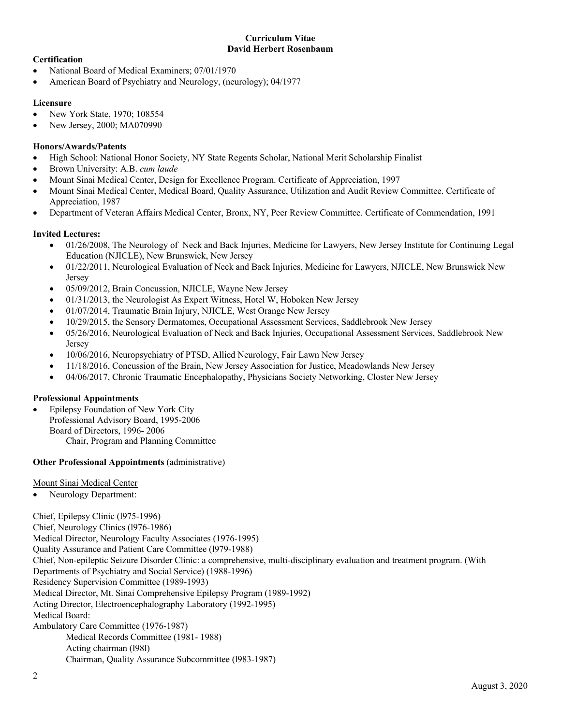# **Certification**

- National Board of Medical Examiners; 07/01/1970
- American Board of Psychiatry and Neurology, (neurology); 04/1977

### **Licensure**

- New York State, 1970; 108554
- New Jersey, 2000; MA070990

### **Honors/Awards/Patents**

- High School: National Honor Society, NY State Regents Scholar, National Merit Scholarship Finalist
- Brown University: A.B. *cum laude*
- Mount Sinai Medical Center, Design for Excellence Program. Certificate of Appreciation, 1997
- Mount Sinai Medical Center, Medical Board, Quality Assurance, Utilization and Audit Review Committee. Certificate of Appreciation, 1987
- Department of Veteran Affairs Medical Center, Bronx, NY, Peer Review Committee. Certificate of Commendation, 1991

## **Invited Lectures:**

- 01/26/2008, The Neurology of Neck and Back Injuries, Medicine for Lawyers, New Jersey Institute for Continuing Legal Education (NJICLE), New Brunswick, New Jersey
- 01/22/2011, Neurological Evaluation of Neck and Back Injuries, Medicine for Lawyers, NJICLE, New Brunswick New Jersey
- 05/09/2012, Brain Concussion, NJICLE, Wayne New Jersey
- 01/31/2013, the Neurologist As Expert Witness, Hotel W, Hoboken New Jersey
- 01/07/2014, Traumatic Brain Injury, NJICLE, West Orange New Jersey
- 10/29/2015, the Sensory Dermatomes, Occupational Assessment Services, Saddlebrook New Jersey
- 05/26/2016, Neurological Evaluation of Neck and Back Injuries, Occupational Assessment Services, Saddlebrook New Jersey
- 10/06/2016, Neuropsychiatry of PTSD, Allied Neurology, Fair Lawn New Jersey
- 11/18/2016, Concussion of the Brain, New Jersey Association for Justice, Meadowlands New Jersey
- 04/06/2017, Chronic Traumatic Encephalopathy, Physicians Society Networking, Closter New Jersey

#### **Professional Appointments**

• Epilepsy Foundation of New York City Professional Advisory Board, 1995-2006 Board of Directors, 1996- 2006 Chair, Program and Planning Committee

#### **Other Professional Appointments** (administrative)

#### Mount Sinai Medical Center

• Neurology Department:

Chief, Epilepsy Clinic (l975-1996) Chief, Neurology Clinics (l976-1986) Medical Director, Neurology Faculty Associates (1976-1995) Quality Assurance and Patient Care Committee (l979-1988) Chief, Non-epileptic Seizure Disorder Clinic: a comprehensive, multi-disciplinary evaluation and treatment program. (With Departments of Psychiatry and Social Service) (1988-1996) Residency Supervision Committee (1989-1993) Medical Director, Mt. Sinai Comprehensive Epilepsy Program (1989-1992) Acting Director, Electroencephalography Laboratory (1992-1995) Medical Board: Ambulatory Care Committee (1976-1987) Medical Records Committee (1981- 1988) Acting chairman (l98l) Chairman, Quality Assurance Subcommittee (l983-1987)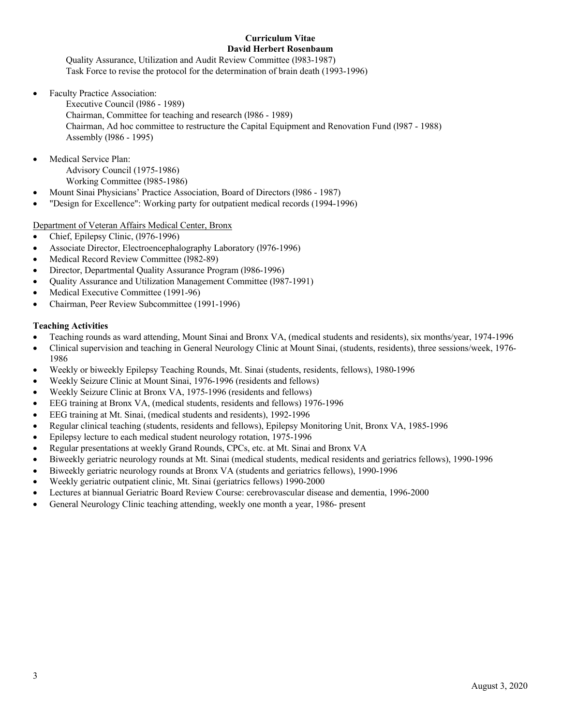Quality Assurance, Utilization and Audit Review Committee (l983-1987) Task Force to revise the protocol for the determination of brain death (1993-1996)

• Faculty Practice Association:

Executive Council (l986 - 1989) Chairman, Committee for teaching and research (l986 - 1989) Chairman, Ad hoc committee to restructure the Capital Equipment and Renovation Fund (l987 - 1988) Assembly (l986 - 1995)

- Medical Service Plan: Advisory Council (1975-1986) Working Committee (l985-1986)
- Mount Sinai Physicians' Practice Association, Board of Directors (l986 1987)
- "Design for Excellence": Working party for outpatient medical records (1994-1996)

## Department of Veteran Affairs Medical Center, Bronx

- Chief, Epilepsy Clinic, (l976-1996)
- Associate Director, Electroencephalography Laboratory (l976-1996)
- Medical Record Review Committee (1982-89)
- Director, Departmental Quality Assurance Program (l986-1996)
- Quality Assurance and Utilization Management Committee (l987-1991)
- Medical Executive Committee (1991-96)
- Chairman, Peer Review Subcommittee (1991-1996)

### **Teaching Activities**

- Teaching rounds as ward attending, Mount Sinai and Bronx VA, (medical students and residents), six months/year, 1974-1996
- Clinical supervision and teaching in General Neurology Clinic at Mount Sinai, (students, residents), three sessions/week, 1976- 1986
- Weekly or biweekly Epilepsy Teaching Rounds, Mt. Sinai (students, residents, fellows), 1980-1996
- Weekly Seizure Clinic at Mount Sinai, 1976-1996 (residents and fellows)
- Weekly Seizure Clinic at Bronx VA, 1975-1996 (residents and fellows)
- EEG training at Bronx VA, (medical students, residents and fellows) 1976-1996
- EEG training at Mt. Sinai, (medical students and residents), 1992-1996
- Regular clinical teaching (students, residents and fellows), Epilepsy Monitoring Unit, Bronx VA, 1985-1996
- Epilepsy lecture to each medical student neurology rotation, 1975-1996
- Regular presentations at weekly Grand Rounds, CPCs, etc. at Mt. Sinai and Bronx VA
- Biweekly geriatric neurology rounds at Mt. Sinai (medical students, medical residents and geriatrics fellows), 1990-1996
- Biweekly geriatric neurology rounds at Bronx VA (students and geriatrics fellows), 1990-1996
- Weekly geriatric outpatient clinic, Mt. Sinai (geriatrics fellows) 1990-2000
- Lectures at biannual Geriatric Board Review Course: cerebrovascular disease and dementia, 1996-2000
- General Neurology Clinic teaching attending, weekly one month a year, 1986- present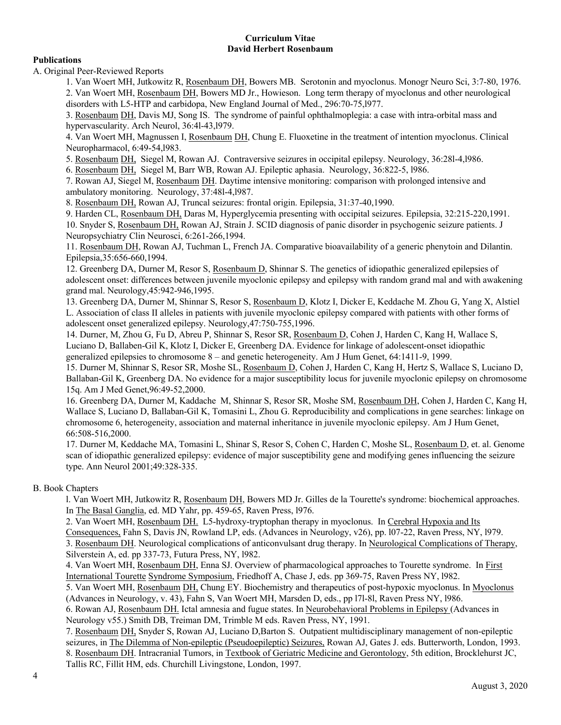# **Publications**

A. Original Peer-Reviewed Reports

1. Van Woert MH, Jutkowitz R, Rosenbaum DH, Bowers MB. Serotonin and myoclonus. Monogr Neuro Sci, 3:7-80, 1976. 2. Van Woert MH, Rosenbaum DH, Bowers MD Jr., Howieson. Long term therapy of myoclonus and other neurological disorders with L5-HTP and carbidopa, New England Journal of Med., 296:70-75,l977.

3. Rosenbaum DH, Davis MJ, Song IS. The syndrome of painful ophthalmoplegia: a case with intra-orbital mass and hypervascularity. Arch Neurol, 36:4l-43,l979.

4. Van Woert MH, Magnussen I, Rosenbaum DH, Chung E. Fluoxetine in the treatment of intention myoclonus. Clinical Neuropharmacol, 6:49-54,l983.

5. Rosenbaum DH, Siegel M, Rowan AJ. Contraversive seizures in occipital epilepsy. Neurology, 36:28l-4,l986.

6. Rosenbaum DH, Siegel M, Barr WB, Rowan AJ. Epileptic aphasia. Neurology, 36:822-5, l986.

7. Rowan AJ, Siegel M, Rosenbaum DH. Daytime intensive monitoring: comparison with prolonged intensive and ambulatory monitoring. Neurology, 37:48l-4,l987.

8. Rosenbaum DH, Rowan AJ, Truncal seizures: frontal origin. Epilepsia, 31:37-40,1990.

9. Harden CL, Rosenbaum DH, Daras M, Hyperglycemia presenting with occipital seizures. Epilepsia, 32:215-220,1991. 10. Snyder S, Rosenbaum DH, Rowan AJ, Strain J. SCID diagnosis of panic disorder in psychogenic seizure patients. J Neuropsychiatry Clin Neurosci, 6:261-266,1994.

11. Rosenbaum DH, Rowan AJ, Tuchman L, French JA. Comparative bioavailability of a generic phenytoin and Dilantin. Epilepsia,35:656-660,1994.

12. Greenberg DA, Durner M, Resor S, Rosenbaum D, Shinnar S. The genetics of idiopathic generalized epilepsies of adolescent onset: differences between juvenile myoclonic epilepsy and epilepsy with random grand mal and with awakening grand mal. Neurology,45:942-946,1995.

13. Greenberg DA, Durner M, Shinnar S, Resor S, Rosenbaum D, Klotz I, Dicker E, Keddache M. Zhou G, Yang X, Alstiel L. Association of class II alleles in patients with juvenile myoclonic epilepsy compared with patients with other forms of adolescent onset generalized epilepsy. Neurology,47:750-755,1996.

14. Durner, M, Zhou G, Fu D, Abreu P, Shinnar S, Resor SR, Rosenbaum D, Cohen J, Harden C, Kang H, Wallace S, Luciano D, Ballaben-Gil K, Klotz I, Dicker E, Greenberg DA. Evidence for linkage of adolescent-onset idiopathic generalized epilepsies to chromosome 8 – and genetic heterogeneity. Am J Hum Genet, 64:1411-9, 1999.

15. Durner M, Shinnar S, Resor SR, Moshe SL, Rosenbaum D, Cohen J, Harden C, Kang H, Hertz S, Wallace S, Luciano D, Ballaban-Gil K, Greenberg DA. No evidence for a major susceptibility locus for juvenile myoclonic epilepsy on chromosome 15q. Am J Med Genet,96:49-52,2000.

16. Greenberg DA, Durner M, Kaddache M, Shinnar S, Resor SR, Moshe SM, Rosenbaum DH, Cohen J, Harden C, Kang H, Wallace S, Luciano D, Ballaban-Gil K, Tomasini L, Zhou G. Reproducibility and complications in gene searches: linkage on chromosome 6, heterogeneity, association and maternal inheritance in juvenile myoclonic epilepsy. Am J Hum Genet, 66:508-516,2000.

17. Durner M, Keddache MA, Tomasini L, Shinar S, Resor S, Cohen C, Harden C, Moshe SL, Rosenbaum D, et. al. Genome scan of idiopathic generalized epilepsy: evidence of major susceptibility gene and modifying genes influencing the seizure type. Ann Neurol 2001;49:328-335.

## B. Book Chapters

l. Van Woert MH, Jutkowitz R, Rosenbaum DH, Bowers MD Jr. Gilles de la Tourette's syndrome: biochemical approaches. In The Basal Ganglia, ed. MD Yahr, pp. 459-65, Raven Press, l976.

2. Van Woert MH, Rosenbaum DH. L5-hydroxy-tryptophan therapy in myoclonus. In Cerebral Hypoxia and Its Consequences, Fahn S, Davis JN, Rowland LP, eds. (Advances in Neurology, v26), pp. l07-22, Raven Press, NY, l979. 3. Rosenbaum DH. Neurological complications of anticonvulsant drug therapy. In Neurological Complications of Therapy, Silverstein A, ed. pp 337-73, Futura Press, NY, l982.

4. Van Woert MH, Rosenbaum DH, Enna SJ. Overview of pharmacological approaches to Tourette syndrome. In First International Tourette Syndrome Symposium, Friedhoff A, Chase J, eds. pp 369-75, Raven Press NY, l982.

5. Van Woert MH, Rosenbaum DH, Chung EY. Biochemistry and therapeutics of post-hypoxic myoclonus. In Myoclonus (Advances in Neurology, v. 43), Fahn S, Van Woert MH, Marsden D, eds., pp l7l-8l, Raven Press NY, l986.

6. Rowan AJ, Rosenbaum DH. Ictal amnesia and fugue states. In Neurobehavioral Problems in Epilepsy (Advances in Neurology v55.) Smith DB, Treiman DM, Trimble M eds. Raven Press, NY, 1991.

7. Rosenbaum DH, Snyder S, Rowan AJ, Luciano D,Barton S. Outpatient multidisciplinary management of non-epileptic seizures, in The Dilemma of Non-epileptic (Pseudoepileptic) Seizures, Rowan AJ, Gates J. eds. Butterworth, London, 1993. 8. Rosenbaum DH. Intracranial Tumors, in Textbook of Geriatric Medicine and Gerontology, 5th edition, Brocklehurst JC, Tallis RC, Fillit HM, eds. Churchill Livingstone, London, 1997.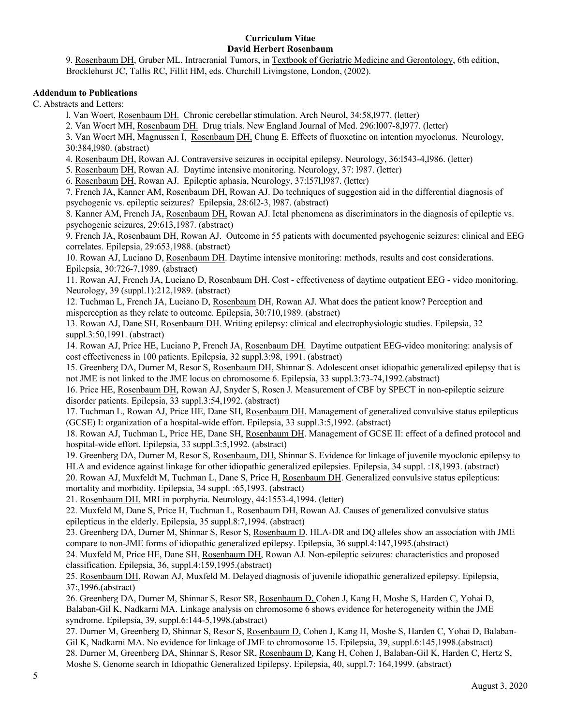9. Rosenbaum DH, Gruber ML. Intracranial Tumors, in Textbook of Geriatric Medicine and Gerontology, 6th edition, Brocklehurst JC, Tallis RC, Fillit HM, eds. Churchill Livingstone, London, (2002).

### **Addendum to Publications**

C. Abstracts and Letters:

l. Van Woert, Rosenbaum DH. Chronic cerebellar stimulation. Arch Neurol, 34:58,l977. (letter)

2. Van Woert MH, Rosenbaum DH. Drug trials. New England Journal of Med. 296:l007-8,l977. (letter)

3. Van Woert MH, Magnussen I, Rosenbaum DH, Chung E. Effects of fluoxetine on intention myoclonus. Neurology, 30:384,l980. (abstract)

4. Rosenbaum DH, Rowan AJ. Contraversive seizures in occipital epilepsy. Neurology, 36:l543-4,l986. (letter)

5. Rosenbaum DH, Rowan AJ. Daytime intensive monitoring. Neurology, 37: l987. (letter)

6. Rosenbaum DH, Rowan AJ. Epileptic aphasia, Neurology, 37:l57l,l987. (letter)

7. French JA, Kanner AM, Rosenbaum DH, Rowan AJ. Do techniques of suggestion aid in the differential diagnosis of psychogenic vs. epileptic seizures? Epilepsia, 28:6l2-3, l987. (abstract)

8. Kanner AM, French JA, Rosenbaum DH, Rowan AJ. Ictal phenomena as discriminators in the diagnosis of epileptic vs. psychogenic seizures, 29:613,1987. (abstract)

9. French JA, Rosenbaum DH, Rowan AJ. Outcome in 55 patients with documented psychogenic seizures: clinical and EEG correlates. Epilepsia, 29:653,1988. (abstract)

10. Rowan AJ, Luciano D, Rosenbaum DH. Daytime intensive monitoring: methods, results and cost considerations. Epilepsia, 30:726-7,1989. (abstract)

11. Rowan AJ, French JA, Luciano D, Rosenbaum DH. Cost - effectiveness of daytime outpatient EEG - video monitoring. Neurology, 39 (suppl.1):212,1989. (abstract)

12. Tuchman L, French JA, Luciano D, Rosenbaum DH, Rowan AJ. What does the patient know? Perception and misperception as they relate to outcome. Epilepsia, 30:710,1989. (abstract)

13. Rowan AJ, Dane SH, Rosenbaum DH. Writing epilepsy: clinical and electrophysiologic studies. Epilepsia, 32 suppl.3:50,1991. (abstract)

14. Rowan AJ, Price HE, Luciano P, French JA, Rosenbaum DH. Daytime outpatient EEG-video monitoring: analysis of cost effectiveness in 100 patients. Epilepsia, 32 suppl.3:98, 1991. (abstract)

15. Greenberg DA, Durner M, Resor S, Rosenbaum DH, Shinnar S. Adolescent onset idiopathic generalized epilepsy that is not JME is not linked to the JME locus on chromosome 6. Epilepsia, 33 suppl.3:73-74,1992.(abstract)

16. Price HE, Rosenbaum DH, Rowan AJ, Snyder S, Rosen J. Measurement of CBF by SPECT in non-epileptic seizure disorder patients. Epilepsia, 33 suppl.3:54,1992. (abstract)

17. Tuchman L, Rowan AJ, Price HE, Dane SH, Rosenbaum DH. Management of generalized convulsive status epilepticus (GCSE) I: organization of a hospital-wide effort. Epilepsia, 33 suppl.3:5,1992. (abstract)

18. Rowan AJ, Tuchman L, Price HE, Dane SH, Rosenbaum DH. Management of GCSE II: effect of a defined protocol and hospital-wide effort. Epilepsia, 33 suppl.3:5,1992. (abstract)

19. Greenberg DA, Durner M, Resor S, Rosenbaum, DH, Shinnar S. Evidence for linkage of juvenile myoclonic epilepsy to HLA and evidence against linkage for other idiopathic generalized epilepsies. Epilepsia, 34 suppl. :18,1993. (abstract)

20. Rowan AJ, Muxfeldt M, Tuchman L, Dane S, Price H, Rosenbaum DH. Generalized convulsive status epilepticus: mortality and morbidity. Epilepsia, 34 suppl. :65,1993. (abstract)

21. Rosenbaum DH. MRI in porphyria. Neurology, 44:1553-4,1994. (letter)

22. Muxfeld M, Dane S, Price H, Tuchman L, Rosenbaum DH, Rowan AJ. Causes of generalized convulsive status epilepticus in the elderly. Epilepsia, 35 suppl.8:7,1994. (abstract)

23. Greenberg DA, Durner M, Shinnar S, Resor S, Rosenbaum D. HLA-DR and DQ alleles show an association with JME compare to non-JME forms of idiopathic generalized epilepsy. Epilepsia, 36 suppl.4:147,1995.(abstract)

24. Muxfeld M, Price HE, Dane SH, Rosenbaum DH, Rowan AJ. Non-epileptic seizures: characteristics and proposed classification. Epilepsia, 36, suppl.4:159,1995.(abstract)

25. Rosenbaum DH, Rowan AJ, Muxfeld M. Delayed diagnosis of juvenile idiopathic generalized epilepsy. Epilepsia, 37:,1996.(abstract)

26. Greenberg DA, Durner M, Shinnar S, Resor SR, Rosenbaum D, Cohen J, Kang H, Moshe S, Harden C, Yohai D, Balaban-Gil K, Nadkarni MA. Linkage analysis on chromosome 6 shows evidence for heterogeneity within the JME syndrome. Epilepsia, 39, suppl.6:144-5,1998.(abstract)

27. Durner M, Greenberg D, Shinnar S, Resor S, Rosenbaum D, Cohen J, Kang H, Moshe S, Harden C, Yohai D, Balaban-Gil K, Nadkarni MA. No evidence for linkage of JME to chromosome 15. Epilepsia, 39, suppl.6:145,1998.(abstract) 28. Durner M, Greenberg DA, Shinnar S, Resor SR, Rosenbaum D, Kang H, Cohen J, Balaban-Gil K, Harden C, Hertz S, Moshe S. Genome search in Idiopathic Generalized Epilepsy. Epilepsia, 40, suppl.7: 164,1999. (abstract)